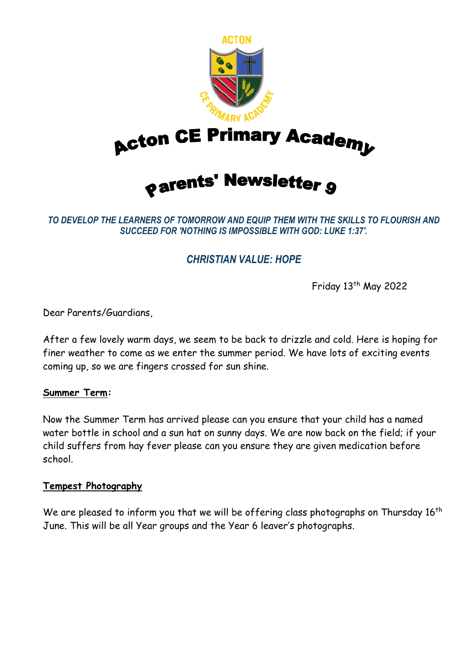

**Acton CE Primary Academy** 

# *<u>oarents' Newsletter g</u>*

*TO DEVELOP THE LEARNERS OF TOMORROW AND EQUIP THEM WITH THE SKILLS TO FLOURISH AND SUCCEED FOR 'NOTHING IS IMPOSSIBLE WITH GOD: LUKE 1:37'.*

# *CHRISTIAN VALUE: HOPE*

Friday 13<sup>th</sup> May 2022

Dear Parents/Guardians,

After a few lovely warm days, we seem to be back to drizzle and cold. Here is hoping for finer weather to come as we enter the summer period. We have lots of exciting events coming up, so we are fingers crossed for sun shine.

#### **Summer Term:**

Now the Summer Term has arrived please can you ensure that your child has a named water bottle in school and a sun hat on sunny days. We are now back on the field; if your child suffers from hay fever please can you ensure they are given medication before school.

#### **Tempest Photography**

We are pleased to inform you that we will be offering class photographs on Thursday 16<sup>th</sup> June. This will be all Year groups and the Year 6 leaver's photographs.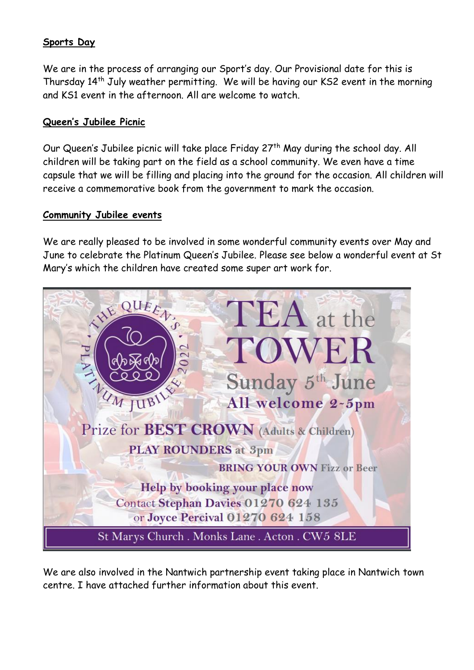## **Sports Day**

We are in the process of arranging our Sport's day. Our Provisional date for this is Thursday 14<sup>th</sup> July weather permitting. We will be having our KS2 event in the morning and KS1 event in the afternoon. All are welcome to watch.

#### **Queen's Jubilee Picnic**

Our Queen's Jubilee picnic will take place Friday 27<sup>th</sup> May during the school day. All children will be taking part on the field as a school community. We even have a time capsule that we will be filling and placing into the ground for the occasion. All children will receive a commemorative book from the government to mark the occasion.

#### **Community Jubilee events**

We are really pleased to be involved in some wonderful community events over May and June to celebrate the Platinum Queen's Jubilee. Please see below a wonderful event at St Mary's which the children have created some super art work for.



We are also involved in the Nantwich partnership event taking place in Nantwich town centre. I have attached further information about this event.